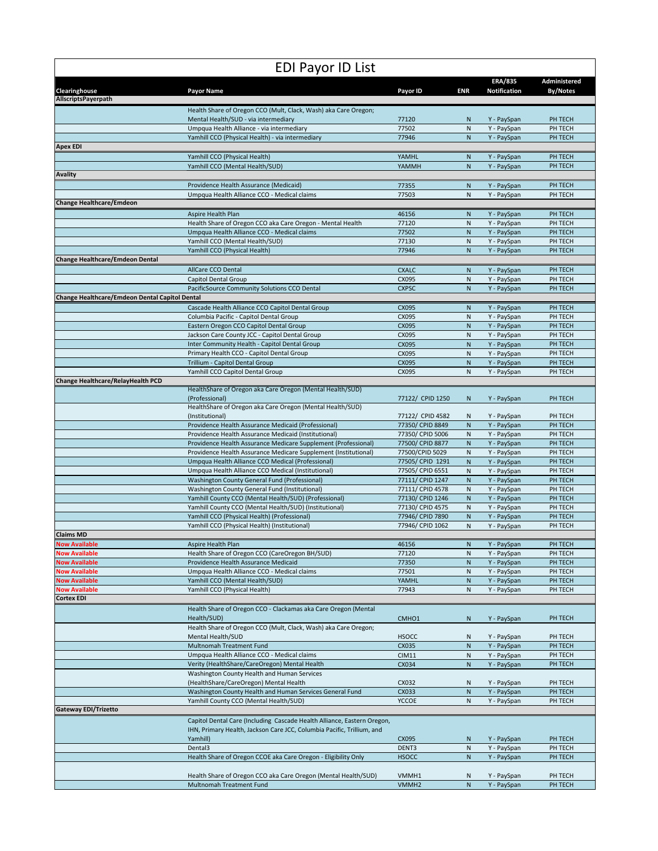| <b>EDI Payor ID List</b>                              |                                                                                                                        |                                      |                           |                                       |                                 |  |  |
|-------------------------------------------------------|------------------------------------------------------------------------------------------------------------------------|--------------------------------------|---------------------------|---------------------------------------|---------------------------------|--|--|
| Clearinghouse                                         | <b>Payor Name</b>                                                                                                      | Payor ID                             | <b>ENR</b>                | <b>ERA/835</b><br><b>Notification</b> | Administered<br><b>By/Notes</b> |  |  |
| AllscriptsPayerpath                                   |                                                                                                                        |                                      |                           |                                       |                                 |  |  |
|                                                       | Health Share of Oregon CCO (Mult, Clack, Wash) aka Care Oregon;                                                        |                                      |                           |                                       |                                 |  |  |
|                                                       | Mental Health/SUD - via intermediary<br>Umpqua Health Alliance - via intermediary                                      | 77120<br>77502                       | N<br>$\mathsf{N}$         | Y - PaySpan<br>Y - PaySpan            | PH TECH<br>PH TECH              |  |  |
|                                                       | Yamhill CCO (Physical Health) - via intermediary                                                                       | 77946                                | N                         | Y - PaySpan                           | PH TECH                         |  |  |
| <b>Apex EDI</b>                                       |                                                                                                                        |                                      |                           |                                       |                                 |  |  |
|                                                       | Yamhill CCO (Physical Health)                                                                                          | YAMHL                                | N                         | Y - PaySpan                           | PH TECH                         |  |  |
|                                                       | Yamhill CCO (Mental Health/SUD)                                                                                        | YAMMH                                | N                         | Y - PaySpan                           | PH TECH                         |  |  |
| <b>Avality</b>                                        | Providence Health Assurance (Medicaid)                                                                                 | 77355                                | N                         | Y - PaySpan                           | PH TECH                         |  |  |
|                                                       | Umpqua Health Alliance CCO - Medical claims                                                                            | 77503                                | N                         | Y - PaySpan                           | PH TECH                         |  |  |
| <b>Change Healthcare/Emdeon</b>                       |                                                                                                                        |                                      |                           |                                       |                                 |  |  |
|                                                       | Aspire Health Plan                                                                                                     | 46156                                | N                         | Y - PaySpan                           | PH TECH                         |  |  |
|                                                       | Health Share of Oregon CCO aka Care Oregon - Mental Health                                                             | 77120                                | N                         | Y - PaySpan                           | PH TECH                         |  |  |
|                                                       | Umpqua Health Alliance CCO - Medical claims<br>Yamhill CCO (Mental Health/SUD)                                         | 77502<br>77130                       | ${\sf N}$<br>${\sf N}$    | Y - PaySpan<br>Y - PaySpan            | PH TECH<br>PH TECH              |  |  |
|                                                       | Yamhill CCO (Physical Health)                                                                                          | 77946                                | N                         | Y - PaySpan                           | PH TECH                         |  |  |
| <b>Change Healthcare/Emdeon Dental</b>                |                                                                                                                        |                                      |                           |                                       |                                 |  |  |
|                                                       | AllCare CCO Dental                                                                                                     | <b>CXALC</b>                         | N                         | Y - PaySpan                           | PH TECH                         |  |  |
|                                                       | Capitol Dental Group                                                                                                   | CX095                                | N                         | Y - PaySpan                           | PH TECH                         |  |  |
| <b>Change Healthcare/Emdeon Dental Capitol Dental</b> | PacificSource Community Solutions CCO Dental                                                                           | <b>CXPSC</b>                         | N                         | Y - PaySpan                           | PH TECH                         |  |  |
|                                                       | Cascade Health Alliance CCO Capitol Dental Group                                                                       | CX095                                | N                         | Y - PaySpan                           | PH TECH                         |  |  |
|                                                       | Columbia Pacific - Capitol Dental Group                                                                                | CX095                                | N                         | Y - PaySpan                           | PH TECH                         |  |  |
|                                                       | Eastern Oregon CCO Capitol Dental Group                                                                                | CX095                                | $\mathsf{N}$              | Y - PaySpan                           | PH TECH                         |  |  |
|                                                       | Jackson Care County JCC - Capitol Dental Group                                                                         | CX095                                | ${\sf N}$                 | Y - PaySpan                           | PH TECH                         |  |  |
|                                                       | Inter Community Health - Capitol Dental Group<br>Primary Health CCO - Capitol Dental Group                             | CX095<br>CX095                       | ${\sf N}$<br>N            | Y - PaySpan<br>Y - PaySpan            | PH TECH<br>PH TECH              |  |  |
|                                                       | Trillium - Capitol Dental Group                                                                                        | CX095                                | ${\sf N}$                 | Y - PaySpan                           | PH TECH                         |  |  |
|                                                       | Yamhill CCO Capitol Dental Group                                                                                       | CX095                                | N                         | Y - PaySpan                           | PH TECH                         |  |  |
| Change Healthcare/RelayHealth PCD                     |                                                                                                                        |                                      |                           |                                       |                                 |  |  |
|                                                       | HealthShare of Oregon aka Care Oregon (Mental Health/SUD)<br>(Professional)                                            | 77122/ CPID 1250                     |                           |                                       | PH TECH                         |  |  |
|                                                       | HealthShare of Oregon aka Care Oregon (Mental Health/SUD)                                                              |                                      | N                         | Y - PaySpan                           |                                 |  |  |
|                                                       | (Institutional)                                                                                                        | 77122/ CPID 4582                     | N                         | Y - PaySpan                           | PH TECH                         |  |  |
|                                                       | Providence Health Assurance Medicaid (Professional)                                                                    | 77350/ CPID 8849                     | ${\sf N}$                 | Y - PaySpan                           | PH TECH                         |  |  |
|                                                       | Providence Health Assurance Medicaid (Institutional)<br>Providence Health Assurance Medicare Supplement (Professional) | 77350/ CPID 5006<br>77500/ CPID 8877 | $\mathsf{N}$<br>${\sf N}$ | Y - PaySpan<br>Y - PaySpan            | PH TECH<br>PH TECH              |  |  |
|                                                       | Providence Health Assurance Medicare Supplement (Institutional)                                                        | 77500/CPID 5029                      | N                         | Y - PaySpan                           | PH TECH                         |  |  |
|                                                       | Umpqua Health Alliance CCO Medical (Professional)                                                                      | 77505/ CPID 1291                     | N                         | Y - PaySpan                           | PH TECH                         |  |  |
|                                                       | Umpqua Health Alliance CCO Medical (Institutional)                                                                     | 77505/ CPID 6551                     | $\mathsf{N}$              | Y - PaySpan                           | PH TECH                         |  |  |
|                                                       | Washington County General Fund (Professional)                                                                          | 77111/ CPID 1247                     | $\mathsf{N}$              | Y - PaySpan                           | PH TECH                         |  |  |
|                                                       | Washington County General Fund (Institutional)<br>Yamhill County CCO (Mental Health/SUD) (Professional)                | 77111/ CPID 4578<br>77130/ CPID 1246 | ${\sf N}$<br>${\sf N}$    | Y - PaySpan<br>Y - PaySpan            | PH TECH<br>PH TECH              |  |  |
|                                                       | Yamhill County CCO (Mental Health/SUD) (Institutional)                                                                 | 77130/ CPID 4575                     | ${\sf N}$                 | Y - PaySpan                           | PH TECH                         |  |  |
|                                                       | Yamhill CCO (Physical Health) (Professional)                                                                           | 77946/ CPID 7890                     | $\mathsf{N}$              | Y - PaySpan                           | PH TECH                         |  |  |
|                                                       | Yamhill CCO (Physical Health) (Institutional)                                                                          | 77946/ CPID 1062                     | $\mathsf{N}$              | Y - PaySpan                           | PH TECH                         |  |  |
| <b>Claims MD</b><br><b>Now Available</b>              | Aspire Health Plan                                                                                                     |                                      |                           |                                       | PH TECH                         |  |  |
| <b>Now Available</b>                                  | Health Share of Oregon CCO (CareOregon BH/SUD)                                                                         | 46156<br>77120                       | ${\sf N}$<br>N            | Y - PaySpan<br>Y - PaySpan            | PH TECH                         |  |  |
| <b>Now Available</b>                                  | Providence Health Assurance Medicaid                                                                                   | 77350                                | ${\sf N}$                 | Y - PaySpan                           | PH TECH                         |  |  |
| <b>Now Available</b>                                  | Umpqua Health Alliance CCO - Medical claims                                                                            | 77501                                | ${\sf N}$                 | Y - PaySpan                           | PH TECH                         |  |  |
| <b>Now Available</b>                                  | Yamhill CCO (Mental Health/SUD)                                                                                        | YAMHL                                | ${\sf N}$                 | Y - PaySpan                           | PH TECH                         |  |  |
| <b>Now Available</b><br><b>Cortex EDI</b>             | Yamhill CCO (Physical Health)                                                                                          | 77943                                | ${\sf N}$                 | Y - PaySpan                           | PH TECH                         |  |  |
|                                                       | Health Share of Oregon CCO - Clackamas aka Care Oregon (Mental                                                         |                                      |                           |                                       |                                 |  |  |
|                                                       | Health/SUD)                                                                                                            | CMHO1                                | $\mathsf{N}$              | Y - PaySpan                           | PH TECH                         |  |  |
|                                                       | Health Share of Oregon CCO (Mult, Clack, Wash) aka Care Oregon;                                                        |                                      |                           |                                       |                                 |  |  |
|                                                       | Mental Health/SUD                                                                                                      | <b>HSOCC</b>                         | N                         | Y - PaySpan                           | PH TECH                         |  |  |
|                                                       | Multnomah Treatment Fund<br>Umpqua Health Alliance CCO - Medical claims                                                | CX035<br><b>CIM11</b>                | ${\sf N}$<br>${\sf N}$    | Y - PaySpan<br>Y - PaySpan            | PH TECH<br>PH TECH              |  |  |
|                                                       | Verity (HealthShare/CareOregon) Mental Health                                                                          | CX034                                | ${\sf N}$                 | Y - PaySpan                           | PH TECH                         |  |  |
|                                                       | Washington County Health and Human Services                                                                            |                                      |                           |                                       |                                 |  |  |
|                                                       | (HealthShare/CareOregon) Mental Health                                                                                 | CX032                                | N                         | Y - PaySpan                           | PH TECH                         |  |  |
|                                                       | Washington County Health and Human Services General Fund                                                               | CX033                                | ${\sf N}$                 | Y - PaySpan                           | PH TECH                         |  |  |
| <b>Gateway EDI/Trizetto</b>                           | Yamhill County CCO (Mental Health/SUD)                                                                                 | <b>YCCOE</b>                         | ${\sf N}$                 | Y - PaySpan                           | PH TECH                         |  |  |
|                                                       | Capitol Dental Care (Including Cascade Health Alliance, Eastern Oregon,                                                |                                      |                           |                                       |                                 |  |  |
|                                                       | IHN, Primary Health, Jackson Care JCC, Columbia Pacific, Trillium, and                                                 |                                      |                           |                                       |                                 |  |  |
|                                                       | Yamhill)                                                                                                               | CX095                                | N                         | Y - PaySpan                           | PH TECH                         |  |  |
|                                                       | Dental3                                                                                                                | DENT3                                | ${\sf N}$<br>${\sf N}$    | Y - PaySpan                           | PH TECH                         |  |  |
|                                                       | Health Share of Oregon CCOE aka Care Oregon - Eligibility Only                                                         | <b>HSOCC</b>                         |                           | Y - PaySpan                           | PH TECH                         |  |  |
|                                                       | Health Share of Oregon CCO aka Care Oregon (Mental Health/SUD)                                                         | VMMH1                                | N                         | Y - PaySpan                           | PH TECH                         |  |  |
|                                                       | Multnomah Treatment Fund                                                                                               | VMMH <sub>2</sub>                    | ${\sf N}$                 | Y - PaySpan                           | PH TECH                         |  |  |